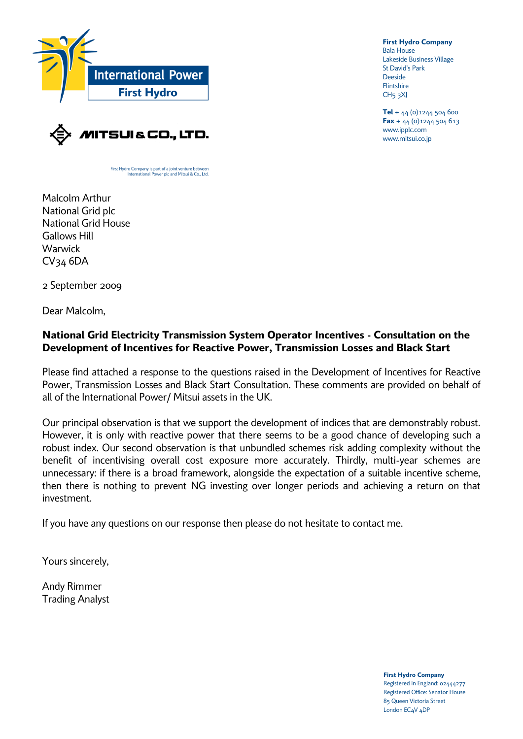

**First Hydro Company** Bala House Lakeside Business Village St David's Park Deeside **Flintshire**  $CH<sub>5</sub>$ <sub>3</sub> $X$ J

**Tel** + 44 (0)1244 504 600 **Fax** + 44 (0)1244 504 613 www.ipplc.com www.mitsui.co.jp



First Hydro Company is part of a joint venture betwe International Power plc and Mitsui & Co., Ltd.

Malcolm Arthur National Grid plc National Grid House Gallows Hill **Warwick** CV34 6DA

2 September 2009

Dear Malcolm,

### **National Grid Electricity Transmission System Operator Incentives - Consultation on the Development of Incentives for Reactive Power, Transmission Losses and Black Start**

Please find attached a response to the questions raised in the Development of Incentives for Reactive Power, Transmission Losses and Black Start Consultation. These comments are provided on behalf of all of the International Power/ Mitsui assets in the UK.

Our principal observation is that we support the development of indices that are demonstrably robust. However, it is only with reactive power that there seems to be a good chance of developing such a robust index. Our second observation is that unbundled schemes risk adding complexity without the benefit of incentivising overall cost exposure more accurately. Thirdly, multi-year schemes are unnecessary: if there is a broad framework, alongside the expectation of a suitable incentive scheme, then there is nothing to prevent NG investing over longer periods and achieving a return on that investment.

If you have any questions on our response then please do not hesitate to contact me.

Yours sincerely,

Andy Rimmer Trading Analyst

> **First Hydro Company** Registered in England: 02444277 Registered Office: Senator House 85 Queen Victoria Street London EC4V 4DP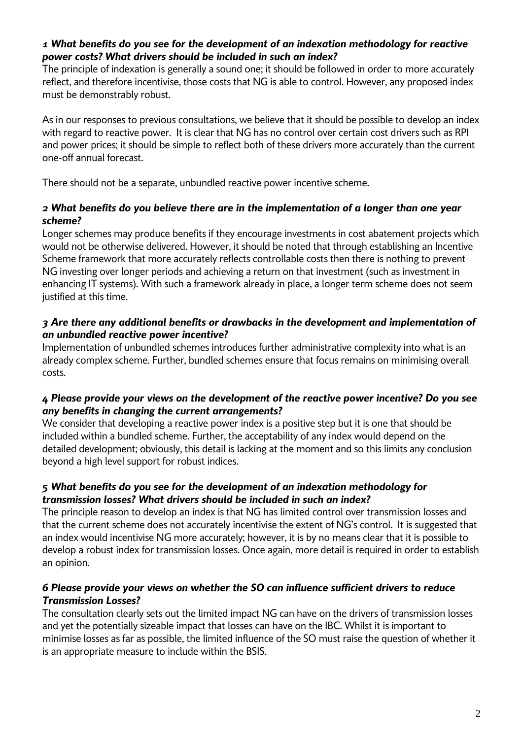# *1 What benefits do you see for the development of an indexation methodology for reactive power costs? What drivers should be included in such an index?*

The principle of indexation is generally a sound one; it should be followed in order to more accurately reflect, and therefore incentivise, those costs that NG is able to control. However, any proposed index must be demonstrably robust.

As in our responses to previous consultations, we believe that it should be possible to develop an index with regard to reactive power. It is clear that NG has no control over certain cost drivers such as RPI and power prices; it should be simple to reflect both of these drivers more accurately than the current one-off annual forecast.

There should not be a separate, unbundled reactive power incentive scheme.

### *2 What benefits do you believe there are in the implementation of a longer than one year scheme?*

Longer schemes may produce benefits if they encourage investments in cost abatement projects which would not be otherwise delivered. However, it should be noted that through establishing an Incentive Scheme framework that more accurately reflects controllable costs then there is nothing to prevent NG investing over longer periods and achieving a return on that investment (such as investment in enhancing IT systems). With such a framework already in place, a longer term scheme does not seem justified at this time.

# *3 Are there any additional benefits or drawbacks in the development and implementation of an unbundled reactive power incentive?*

Implementation of unbundled schemes introduces further administrative complexity into what is an already complex scheme. Further, bundled schemes ensure that focus remains on minimising overall costs.

# *4 Please provide your views on the development of the reactive power incentive? Do you see any benefits in changing the current arrangements?*

We consider that developing a reactive power index is a positive step but it is one that should be included within a bundled scheme. Further, the acceptability of any index would depend on the detailed development; obviously, this detail is lacking at the moment and so this limits any conclusion beyond a high level support for robust indices.

# *5 What benefits do you see for the development of an indexation methodology for transmission losses? What drivers should be included in such an index?*

The principle reason to develop an index is that NG has limited control over transmission losses and that the current scheme does not accurately incentivise the extent of NG's control. It is suggested that an index would incentivise NG more accurately; however, it is by no means clear that it is possible to develop a robust index for transmission losses. Once again, more detail is required in order to establish an opinion.

#### *6 Please provide your views on whether the SO can influence sufficient drivers to reduce Transmission Losses?*

The consultation clearly sets out the limited impact NG can have on the drivers of transmission losses and yet the potentially sizeable impact that losses can have on the IBC. Whilst it is important to minimise losses as far as possible, the limited influence of the SO must raise the question of whether it is an appropriate measure to include within the BSIS.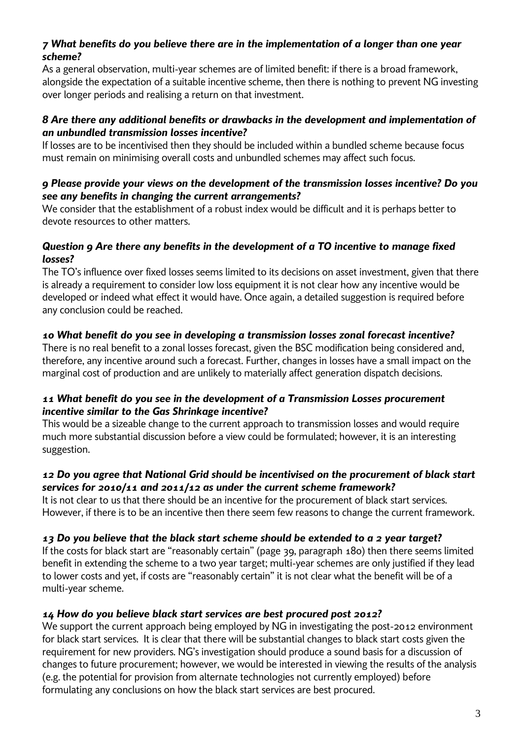### *7 What benefits do you believe there are in the implementation of a longer than one year scheme?*

As a general observation, multi-year schemes are of limited benefit: if there is a broad framework, alongside the expectation of a suitable incentive scheme, then there is nothing to prevent NG investing over longer periods and realising a return on that investment.

#### *8 Are there any additional benefits or drawbacks in the development and implementation of an unbundled transmission losses incentive?*

If losses are to be incentivised then they should be included within a bundled scheme because focus must remain on minimising overall costs and unbundled schemes may affect such focus.

#### *9 Please provide your views on the development of the transmission losses incentive? Do you see any benefits in changing the current arrangements?*

We consider that the establishment of a robust index would be difficult and it is perhaps better to devote resources to other matters.

# *Question 9 Are there any benefits in the development of a TO incentive to manage fixed losses?*

The TO's influence over fixed losses seems limited to its decisions on asset investment, given that there is already a requirement to consider low loss equipment it is not clear how any incentive would be developed or indeed what effect it would have. Once again, a detailed suggestion is required before any conclusion could be reached.

# *10 What benefit do you see in developing a transmission losses zonal forecast incentive?*

There is no real benefit to a zonal losses forecast, given the BSC modification being considered and, therefore, any incentive around such a forecast. Further, changes in losses have a small impact on the marginal cost of production and are unlikely to materially affect generation dispatch decisions.

# *11 What benefit do you see in the development of a Transmission Losses procurement incentive similar to the Gas Shrinkage incentive?*

This would be a sizeable change to the current approach to transmission losses and would require much more substantial discussion before a view could be formulated; however, it is an interesting suggestion.

# *12 Do you agree that National Grid should be incentivised on the procurement of black start services for 2010/11 and 2011/12 as under the current scheme framework?*

It is not clear to us that there should be an incentive for the procurement of black start services. However, if there is to be an incentive then there seem few reasons to change the current framework.

# *13 Do you believe that the black start scheme should be extended to a 2 year target?*

If the costs for black start are "reasonably certain" (page 39, paragraph 180) then there seems limited benefit in extending the scheme to a two year target; multi-year schemes are only justified if they lead to lower costs and yet, if costs are "reasonably certain" it is not clear what the benefit will be of a multi-year scheme.

# *14 How do you believe black start services are best procured post 2012?*

We support the current approach being employed by NG in investigating the post-2012 environment for black start services. It is clear that there will be substantial changes to black start costs given the requirement for new providers. NG's investigation should produce a sound basis for a discussion of changes to future procurement; however, we would be interested in viewing the results of the analysis (e.g. the potential for provision from alternate technologies not currently employed) before formulating any conclusions on how the black start services are best procured.